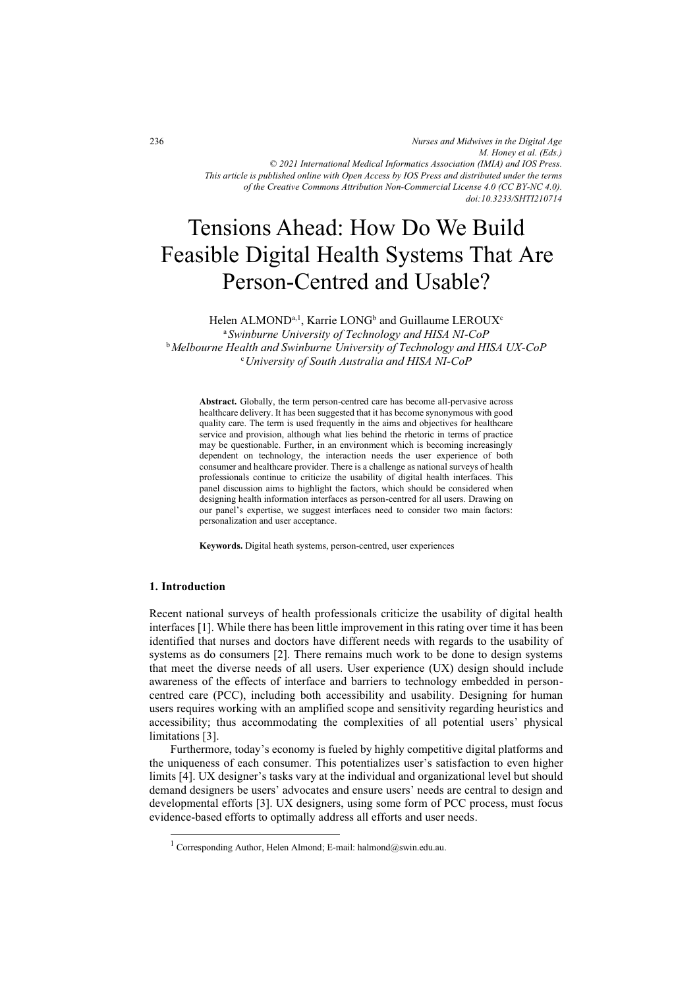*Nurses and Midwives in the Digital Age M. Honey et al. (Eds.) © 2021 International Medical Informatics Association (IMIA) and IOS Press. This article is published online with Open Access by IOS Press and distributed under the terms of the Creative Commons Attribution Non-Commercial License 4.0 (CC BY-NC 4.0). doi:10.3233/SHTI210714*

# Tensions Ahead: How Do We Build Feasible Digital Health Systems That Are Person-Centred and Usable?

Helen ALMOND<sup>a,1</sup>, Karrie LONG<sup>b</sup> and Guillaume LEROUX<sup>c</sup>

<sup>a</sup>*Swinburne University of Technology and HISA NI-CoP*  b*Melbourne Health and Swinburne University of Technology and HISA UX-CoP* <sup>c</sup>*University of South Australia and HISA NI-CoP* 

**Abstract.** Globally, the term person-centred care has become all-pervasive across healthcare delivery. It has been suggested that it has become synonymous with good quality care. The term is used frequently in the aims and objectives for healthcare service and provision, although what lies behind the rhetoric in terms of practice may be questionable. Further, in an environment which is becoming increasingly dependent on technology, the interaction needs the user experience of both consumer and healthcare provider. There is a challenge as national surveys of health professionals continue to criticize the usability of digital health interfaces. This panel discussion aims to highlight the factors, which should be considered when designing health information interfaces as person-centred for all users. Drawing on our panel's expertise, we suggest interfaces need to consider two main factors: personalization and user acceptance.

**Keywords.** Digital heath systems, person-centred, user experiences

## **1. Introduction**

Recent national surveys of health professionals criticize the usability of digital health interfaces [1]. While there has been little improvement in this rating over time it has been identified that nurses and doctors have different needs with regards to the usability of systems as do consumers [2]. There remains much work to be done to design systems that meet the diverse needs of all users. User experience (UX) design should include awareness of the effects of interface and barriers to technology embedded in personcentred care (PCC), including both accessibility and usability. Designing for human users requires working with an amplified scope and sensitivity regarding heuristics and accessibility; thus accommodating the complexities of all potential users' physical limitations [3].

Furthermore, today's economy is fueled by highly competitive digital platforms and the uniqueness of each consumer. This potentializes user's satisfaction to even higher limits [4]. UX designer's tasks vary at the individual and organizational level but should demand designers be users' advocates and ensure users' needs are central to design and developmental efforts [3]. UX designers, using some form of PCC process, must focus evidence-based efforts to optimally address all efforts and user needs.

<sup>&</sup>lt;sup>1</sup> Corresponding Author, Helen Almond; E-mail: halmond@swin.edu.au.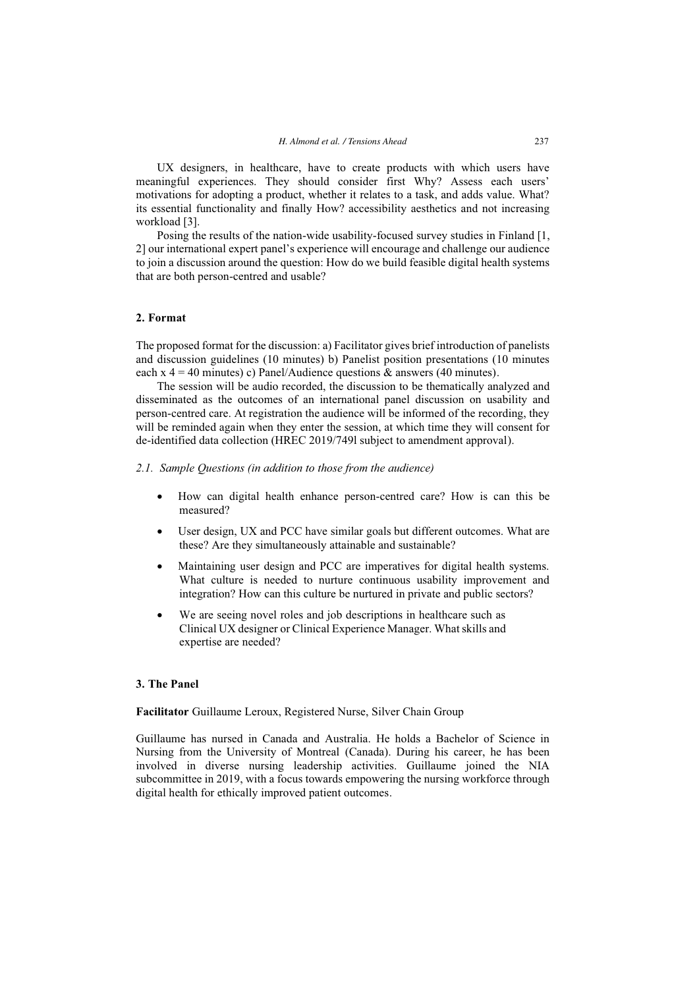UX designers, in healthcare, have to create products with which users have meaningful experiences. They should consider first Why? Assess each users' motivations for adopting a product, whether it relates to a task, and adds value. What? its essential functionality and finally How? accessibility aesthetics and not increasing workload [3].

Posing the results of the nation-wide usability-focused survey studies in Finland [1, 2] our international expert panel's experience will encourage and challenge our audience to join a discussion around the question: How do we build feasible digital health systems that are both person-centred and usable?

## **2. Format**

The proposed format for the discussion: a) Facilitator gives brief introduction of panelists and discussion guidelines (10 minutes) b) Panelist position presentations (10 minutes each x  $4 = 40$  minutes) c) Panel/Audience questions & answers (40 minutes).

The session will be audio recorded, the discussion to be thematically analyzed and disseminated as the outcomes of an international panel discussion on usability and person-centred care. At registration the audience will be informed of the recording, they will be reminded again when they enter the session, at which time they will consent for de-identified data collection (HREC 2019/749l subject to amendment approval).

#### *2.1. Sample Questions (in addition to those from the audience)*

- $\bullet$  How can digital health enhance person-centred care? How is can this be measured?
- $\bullet$  User design, UX and PCC have similar goals but different outcomes. What are these? Are they simultaneously attainable and sustainable?
- $\bullet$  Maintaining user design and PCC are imperatives for digital health systems. What culture is needed to nurture continuous usability improvement and integration? How can this culture be nurtured in private and public sectors?
- $\bullet$  We are seeing novel roles and job descriptions in healthcare such as Clinical UX designer or Clinical Experience Manager. What skills and expertise are needed?

## **3. The Panel**

**Facilitator** Guillaume Leroux, Registered Nurse, Silver Chain Group

Guillaume has nursed in Canada and Australia. He holds a Bachelor of Science in Nursing from the University of Montreal (Canada). During his career, he has been involved in diverse nursing leadership activities. Guillaume joined the NIA subcommittee in 2019, with a focus towards empowering the nursing workforce through digital health for ethically improved patient outcomes.